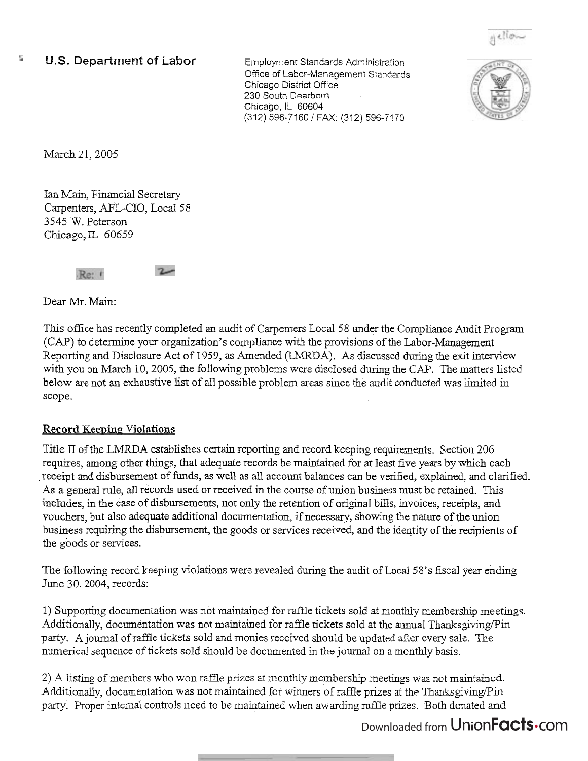

## U.S. Department of Labor Employment Standards Administration

Ofice of Labor-Management Standards Chicago District Office 230 South Dearborn Chicago, IL 60604 (312) 596-7160 / FAX: (312) 596-7170



March 21, 2005

 $\frac{2\pi}{3}$ 

Ian Main, Financial Secretary Carpenters, AFL-CIO, Local 58 3545 W. Peterson Chicago,  $IL$  60659

> $2$  $Re: I$

Dear Mr. Main:

This office has recently completed an audit of Carpenters Local 58 under the Compliance Audit Program (CAP) to determine your organization's compliance with the provisions of the Labor-Management Reporting and Disclosure Act of 1959, as Amended (LMRDA). As discussed during the exit interview with you on March 10,2005, the following problems were disclosed during the CAP. The matters listed below are not an exhaustive list of all possible problem areas since the audit conducted was limited in scope.

## **Record Keeping; Violations**

Title **II** of the LMRDA establishes certain reporting and record keeping requirements. Section 206 requires, among other things, that adequate records be maintained for at least five years by which each receipt and disbursement of funds, as well as all account balances can be verified, explained, and clarified. As a general rule, all records used or received in the course of union business must be retained. This includes, in the case of disbursements, not only the retention of original bills, invoices, receipts, and vouchers, but also adequate additional documentation, if necessary, showing the nature of the union business requiring the disbursement, the goods or services received, and the identity of the recipients of the goods or services.

The following record keeping violations were revealed during the audit of Local 58's fiscal year ending June 30,2004, records:

1) Supporting documentation was not maintained for raffle tickets sold at monthly membership meetings. Additionally, documentation was not maintained for raffle tickets sold at the annual Thanksgiving/Pin party. A journal of raffle tickets sold and monies received should be updated after every sale. The numerical sequence of tickets sold should be documented in the journal on a monthly basis.

2) A listing of members who won raffle prizes at monthly membership meetings was not maintained. Additionally, documentation was not maintained for winners of raffle prizes at the ThanksgivingPin party. Proper internal controls need to be maintained when awarding raffle prizes. Both donated and

## Downloaded from UnionFacts.com